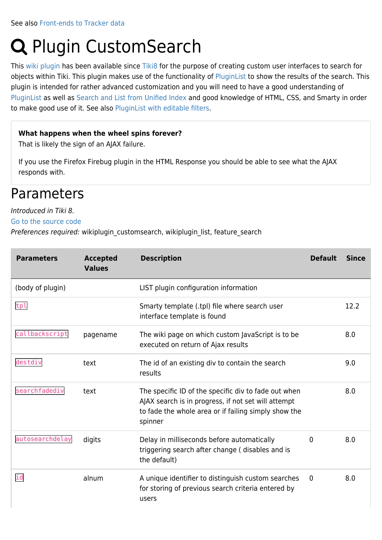# **Q** Plugin CustomSearch

This [wiki plugin](https://doc.tiki.org/wiki%20plugin) has been available since [Tiki8](https://doc.tiki.org/Tiki8) for the purpose of creating custom user interfaces to search for objects within Tiki. This plugin makes use of the functionality of [PluginList](https://doc.tiki.org/PluginList) to show the results of the search. This plugin is intended for rather advanced customization and you will need to have a good understanding of [PluginList](https://doc.tiki.org/PluginList) as well as [Search and List from Unified Index](https://doc.tiki.org/Search-and-List-from-Unified-Index) and good knowledge of HTML, CSS, and Smarty in order to make good use of it. See also [PluginList with editable filters](https://doc.tiki.org/PluginList-with-editable-filters).

#### **What happens when the wheel spins forever?**

That is likely the sign of an AJAX failure.

If you use the Firefox Firebug plugin in the HTML Response you should be able to see what the AJAX responds with.

## **Parameters**

#### Introduced in Tiki 8.

[Go to the source code](https://gitlab.com/tikiwiki/tiki/-/blob/master/lib/wiki-plugins/wikiplugin_customsearch.php)

Preferences required: wikiplugin\_customsearch, wikiplugin\_list, feature\_search

| <b>Parameters</b> | <b>Accepted</b><br><b>Values</b> | <b>Description</b>                                                                                                                                                             | <b>Default</b> | <b>Since</b> |
|-------------------|----------------------------------|--------------------------------------------------------------------------------------------------------------------------------------------------------------------------------|----------------|--------------|
| (body of plugin)  |                                  | LIST plugin configuration information                                                                                                                                          |                |              |
| tpl               |                                  | Smarty template (.tpl) file where search user<br>interface template is found                                                                                                   |                | 12.2         |
| callbackscript    | pagename                         | The wiki page on which custom JavaScript is to be<br>executed on return of Ajax results                                                                                        |                | 8.0          |
| destdiv           | text                             | The id of an existing div to contain the search<br>results                                                                                                                     |                | 9.0          |
| searchfadediv     | text                             | The specific ID of the specific div to fade out when<br>AJAX search is in progress, if not set will attempt<br>to fade the whole area or if failing simply show the<br>spinner |                | 8.0          |
| autosearchdelay   | digits                           | Delay in milliseconds before automatically<br>triggering search after change (disables and is<br>the default)                                                                  | 0              | 8.0          |
| id                | alnum                            | A unique identifier to distinguish custom searches<br>for storing of previous search criteria entered by<br>users                                                              | $\mathbf{0}$   | 8.0          |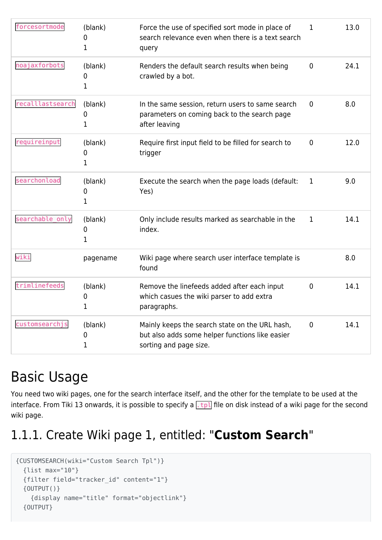| forcesortmode    | (blank)<br>0<br>$\mathbf{1}$ | Force the use of specified sort mode in place of<br>search relevance even when there is a text search<br>query              | 1            | 13.0 |
|------------------|------------------------------|-----------------------------------------------------------------------------------------------------------------------------|--------------|------|
| noajaxforbots    | (blank)<br>0<br>1            | Renders the default search results when being<br>crawled by a bot.                                                          | $\mathbf 0$  | 24.1 |
| recalllastsearch | (blank)<br>0<br>1            | In the same session, return users to same search<br>parameters on coming back to the search page<br>after leaving           | $\mathbf{0}$ | 8.0  |
| requireinput     | (blank)<br>0<br>1            | Require first input field to be filled for search to<br>trigger                                                             | $\mathbf 0$  | 12.0 |
| searchonload     | (blank)<br>0<br>1            | Execute the search when the page loads (default:<br>Yes)                                                                    | 1            | 9.0  |
| searchable_only  | (blank)<br>0<br>1            | Only include results marked as searchable in the<br>index.                                                                  | 1            | 14.1 |
| wiki             | pagename                     | Wiki page where search user interface template is<br>found                                                                  |              | 8.0  |
| trimlinefeeds    | (blank)<br>0<br>1            | Remove the linefeeds added after each input<br>which casues the wiki parser to add extra<br>paragraphs.                     | $\mathbf 0$  | 14.1 |
| customsearchjs   | (blank)<br>0<br>1            | Mainly keeps the search state on the URL hash,<br>but also adds some helper functions like easier<br>sorting and page size. | $\mathbf 0$  | 14.1 |

## Basic Usage

You need two wiki pages, one for the search interface itself, and the other for the template to be used at the interface. From Tiki 13 onwards, it is possible to specify a  $\frac{1}{k}$  file on disk instead of a wiki page for the second wiki page.

## 1.1.1. Create Wiki page 1, entitled: "**Custom Search**"

```
{CUSTOMSEARCH(wiki="Custom Search Tpl")}
   {list max="10"}
   {filter field="tracker_id" content="1"}
   {OUTPUT()}
     {display name="title" format="objectlink"}
   {OUTPUT}
```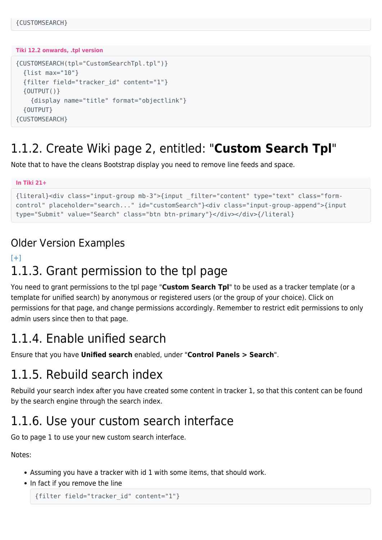#### **Tiki 12.2 onwards, .tpl version**

```
{CUSTOMSEARCH(tpl="CustomSearchTpl.tpl")}
   {list max="10"}
   {filter field="tracker_id" content="1"}
  \{ OUTPUT()}
     {display name="title" format="objectlink"}
   {OUTPUT}
{CUSTOMSEARCH}
```
## 1.1.2. Create Wiki page 2, entitled: "**Custom Search Tpl**"

Note that to have the cleans Bootstrap display you need to remove line feeds and space.

```
In Tiki 21+
```

```
{literal}<div class="input-group mb-3">{input _filter="content" type="text" class="form-
control" placeholder="search..." id="customSearch"}<div class="input-group-append">{input
type="Submit" value="Search" class="btn btn-primary"}</div></div>{/literal}
```
### Older Version Examples

### $[+]$ 1.1.3. Grant permission to the tpl page

You need to grant permissions to the tpl page "**Custom Search Tpl**" to be used as a tracker template (or a template for unified search) by anonymous or registered users (or the group of your choice). Click on permissions for that page, and change permissions accordingly. Remember to restrict edit permissions to only admin users since then to that page.

## 1.1.4. Enable unified search

Ensure that you have **Unified search** enabled, under "**Control Panels > Search**".

## 1.1.5. Rebuild search index

Rebuild your search index after you have created some content in tracker 1, so that this content can be found by the search engine through the search index.

## 1.1.6. Use your custom search interface

Go to page 1 to use your new custom search interface.

Notes:

- Assuming you have a tracker with id 1 with some items, that should work.
- In fact if you remove the line

```
{filter field="tracker_id" content="1"}
```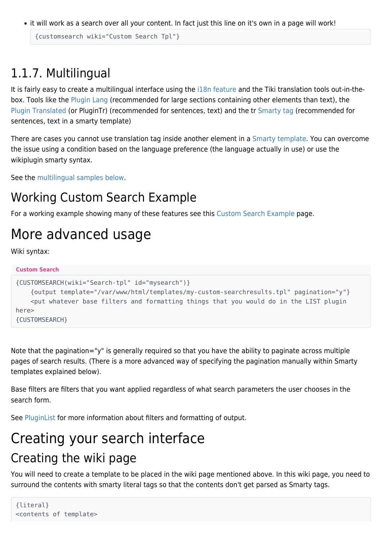it will work as a search over all your content. In fact just this line on it's own in a page will work!

```
{customsearch wiki="Custom Search Tpl"}
```
## 1.1.7. Multilingual

It is fairly easy to create a multilingual interface using the [i18n feature](https://doc.tiki.org/i18n) and the Tiki translation tools out-in-thebox. Tools like the [Plugin Lang](https://doc.tiki.org/PluginLang) (recommended for large sections containing other elements than text), the [Plugin Translated](https://doc.tiki.org/PluginTranslated) (or PluginTr) (recommended for sentences, text) and the tr [Smarty tag](https://doc.tiki.org/Smarty) (recommended for sentences, text in a smarty template)

There are cases you cannot use translation tag inside another element in a [Smarty template](https://doc.tiki.org/Smarty). You can overcome the issue using a condition based on the language preference (the language actually in use) or use the wikiplugin smarty syntax.

See the [multilingual samples below](https://doc.tiki.org/PluginCustomSearch#Multilingual_samples).

## Working Custom Search Example

For a working example showing many of these features see this [Custom Search Example](https://doc.tiki.org/Custom-Search-Example) page.

## More advanced usage

Wiki syntax:

```
Custom Search
{CUSTOMSEARCH(wiki="Search-tpl" id="mysearch")}
     {output template="/var/www/html/templates/my-custom-searchresults.tpl" pagination="y"}
     <put whatever base filters and formatting things that you would do in the LIST plugin
here>
{CUSTOMSEARCH}
```
Note that the pagination="y" is generally required so that you have the ability to paginate across multiple pages of search results. (There is a more advanced way of specifying the pagination manually within Smarty templates explained below).

Base filters are filters that you want applied regardless of what search parameters the user chooses in the search form.

See [PluginList](https://doc.tiki.org/PluginList) for more information about filters and formatting of output.

## Creating your search interface Creating the wiki page

You will need to create a template to be placed in the wiki page mentioned above. In this wiki page, you need to surround the contents with smarty literal tags so that the contents don't get parsed as Smarty tags.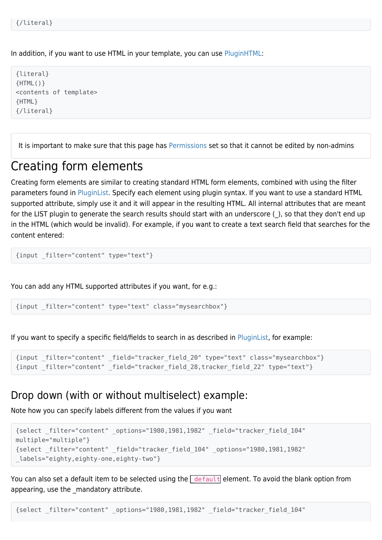In addition, if you want to use HTML in your template, you can use [PluginHTML:](https://doc.tiki.org/PluginHTML)

{literal} {HTML()} <contents of template> {HTML} {/literal}

It is important to make sure that this page has [Permissions](https://doc.tiki.org/Permissions) set so that it cannot be edited by non-admins

## Creating form elements

Creating form elements are similar to creating standard HTML form elements, combined with using the filter parameters found in [PluginList.](https://doc.tiki.org/PluginList) Specify each element using plugin syntax. If you want to use a standard HTML supported attribute, simply use it and it will appear in the resulting HTML. All internal attributes that are meant for the LIST plugin to generate the search results should start with an underscore (), so that they don't end up in the HTML (which would be invalid). For example, if you want to create a text search field that searches for the content entered:

{input \_filter="content" type="text"}

You can add any HTML supported attributes if you want, for e.g.:

{input \_filter="content" type="text" class="mysearchbox"}

If you want to specify a specific field/fields to search in as described in [PluginList](https://doc.tiki.org/PluginList), for example:

```
{input _filter="content" _field="tracker_field_20" type="text" class="mysearchbox"}
{input _filter="content" _field="tracker_field_28,tracker_field_22" type="text"}
```
### Drop down (with or without multiselect) example:

Note how you can specify labels different from the values if you want

```
{select _filter="content" _options="1980,1981,1982" _field="tracker_field_104"
multiple="multiple"}
{select _filter="content" _field="tracker_field_104" _options="1980,1981,1982"
labels="eighty,eighty-one,eighty-two"}
```
You can also set a default item to be selected using the  $\frac{d}{dt}$  default element. To avoid the blank option from appearing, use the mandatory attribute.

{select \_filter="content" \_options="1980,1981,1982" \_field="tracker\_field\_104"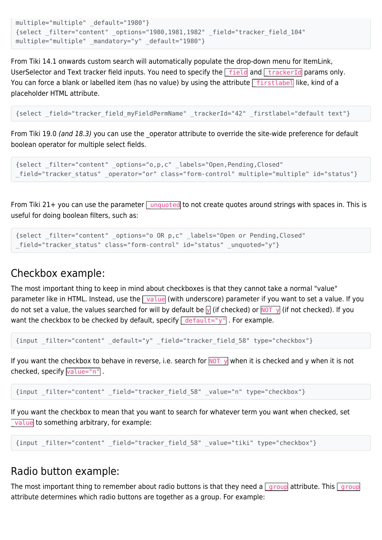```
multiple="multiple" default="1980"}
{select _filter="content" _options="1980,1981,1982" _field="tracker_field_104"
multiple="multiple" mandatory="y" default="1980"}
```
From Tiki 14.1 onwards custom search will automatically populate the drop-down menu for ItemLink, UserSelector and Text tracker field inputs. You need to specify the  $\int$  field and  $\int$  trackerId params only. You can force a blank or labelled item (has no value) by using the attribute  $\lceil$  firstlabel like, kind of a placeholder HTML attribute.

{select \_field="tracker\_field\_myFieldPermName" \_trackerId="42" \_firstlabel="default text"}

From Tiki 19.0 (and 18.3) you can use the \_operator attribute to override the site-wide preference for default boolean operator for multiple select fields.

```
{select _filter="content" _options="o,p,c" _labels="Open,Pending,Closed"
field="tracker status" operator="or" class="form-control" multiple="multiple" id="status"}
```
From Tiki 21+ you can use the parameter  $\sqrt{u_{\text{niquoted}}}$  to not create quotes around strings with spaces in. This is useful for doing boolean filters, such as:

```
{select _filter="content" _options="o OR p,c" _labels="Open or Pending,Closed"
_field="tracker_status" class="form-control" id="status" _unquoted="y"}
```
### Checkbox example:

The most important thing to keep in mind about checkboxes is that they cannot take a normal "value" parameter like in HTML. Instead, use the  $\sqrt{v_0}$  vith underscore) parameter if you want to set a value. If you do not set a value, the values searched for will by default be  $\sqrt{ }$  (if checked) or  $\sqrt{ }$  (if not checked). If you want the checkbox to be checked by default, specify  $\sqrt{\det(u)}$ . For example.

{input \_filter="content" \_default="y" \_field="tracker\_field\_58" type="checkbox"}

If you want the checkbox to behave in reverse, i.e. search for  $\overline{NOT}$  when it is checked and y when it is not checked, specify value="n".

{input \_filter="content" \_field="tracker\_field\_58" \_value="n" type="checkbox"}

If you want the checkbox to mean that you want to search for whatever term you want when checked, set value to something arbitrary, for example:

```
{input _filter="content" _field="tracker_field_58" _value="tiki" type="checkbox"}
```
#### Radio button example:

The most important thing to remember about radio buttons is that they need a  $\frac{1}{2}$  group attribute. This  $\frac{1}{2}$  group attribute determines which radio buttons are together as a group. For example: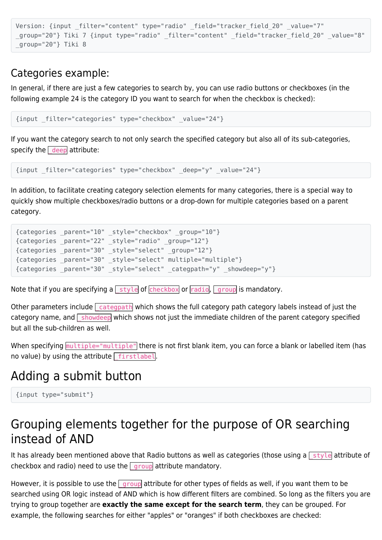```
Version: {input filter="content" type="radio" field="tracker field 20" value="7"
_group="20"} Tiki 7 {input type="radio" _filter="content" _field="tracker_field_20" _value="8"
_group="20"} Tiki 8
```
### Categories example:

In general, if there are just a few categories to search by, you can use radio buttons or checkboxes (in the following example 24 is the category ID you want to search for when the checkbox is checked):

```
{input _filter="categories" type="checkbox" _value="24"}
```
If you want the category search to not only search the specified category but also all of its sub-categories, specify the  $\sqrt{\frac{deep}{det}}$  attribute:

```
{input _filter="categories" type="checkbox" _deep="y" _value="24"}
```
In addition, to facilitate creating category selection elements for many categories, there is a special way to quickly show multiple checkboxes/radio buttons or a drop-down for multiple categories based on a parent category.

```
{categories _parent="10" _style="checkbox" _group="10"}
{categories _parent="22" _style="radio" _group="12"}
{categories _parent="30" _style="select" _group="12"}
{categories _parent="30" _style="select" multiple="multiple"}
{categories _parent="30" _style="select" _categpath="y" _showdeep="y"}
```
Note that if you are specifying a  $\lfloor$  style of checkbox or radio,  $\lfloor$  group is mandatory.

Other parameters include  $\sqrt{c_{\text{ategpath}}}$  which shows the full category path category labels instead of just the category name, and  $\sqrt{s}$  showdeep which shows not just the immediate children of the parent category specified but all the sub-children as well.

When specifying multiple="multiple" there is not first blank item, you can force a blank or labelled item (has no value) by using the attribute  $\lceil$  firstlabel.

## Adding a submit button

```
{input type="submit"}
```
## Grouping elements together for the purpose of OR searching instead of AND

It has already been mentioned above that Radio buttons as well as categories (those using a  $\sqrt{s}$  style attribute of checkbox and radio) need to use the  $\sqrt{g}$  group attribute mandatory.

However, it is possible to use the  $\sqrt{g}$  group attribute for other types of fields as well, if you want them to be searched using OR logic instead of AND which is how different filters are combined. So long as the filters you are trying to group together are **exactly the same except for the search term**, they can be grouped. For example, the following searches for either "apples" or "oranges" if both checkboxes are checked: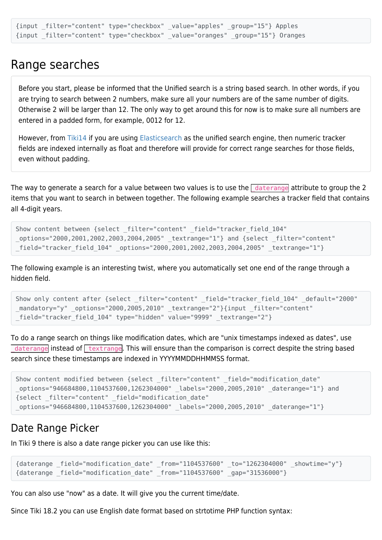```
{input _filter="content" type="checkbox" _value="apples" _group="15"} Apples
{input _filter="content" type="checkbox" _value="oranges" _group="15"} Oranges
```
## Range searches

Before you start, please be informed that the Unified search is a string based search. In other words, if you are trying to search between 2 numbers, make sure all your numbers are of the same number of digits. Otherwise 2 will be larger than 12. The only way to get around this for now is to make sure all numbers are entered in a padded form, for example, 0012 for 12.

However, from [Tiki14](https://doc.tiki.org/Tiki14) if you are using [Elasticsearch](https://doc.tiki.org/Elasticsearch) as the unified search engine, then numeric tracker fields are indexed internally as float and therefore will provide for correct range searches for those fields, even without padding.

The way to generate a search for a value between two values is to use the  $\sqrt{a}$  daterange attribute to group the 2 items that you want to search in between together. The following example searches a tracker field that contains all 4-digit years.

```
Show content between {select filter="content" field="tracker field 104"
_options="2000,2001,2002,2003,2004,2005" _textrange="1"} and {select _filter="content"
_field="tracker_field_104" _options="2000,2001,2002,2003,2004,2005" _textrange="1"}
```
The following example is an interesting twist, where you automatically set one end of the range through a hidden field.

```
Show only content after {select filter="content" field="tracker field 104" default="2000"
mandatory="y" options="2000,2005,2010" textrange="2"}{input filter="content"
_field="tracker_field_104" type="hidden" value="9999" _textrange="2"}
```
To do a range search on things like modification dates, which are "unix timestamps indexed as dates", use daterange instead of  $\tau$  textrange. This will ensure than the comparison is correct despite the string based search since these timestamps are indexed in YYYYMMDDHHMMSS format.

```
Show content modified between {select filter="content" field="modification date"
_options="946684800,1104537600,1262304000" _labels="2000,2005,2010" _daterange="1"} and
{select _filter="content" _field="modification_date"
_options="946684800,1104537600,1262304000" _labels="2000,2005,2010" _daterange="1"}
```
### Date Range Picker

In Tiki 9 there is also a date range picker you can use like this:

```
{daterange _field="modification_date" _from="1104537600" _to="1262304000" _showtime="y"}
{daterange _field="modification_date" _from="1104537600" _gap="31536000"}
```
You can also use "now" as a date. It will give you the current time/date.

Since Tiki 18.2 you can use English date format based on strtotime PHP function syntax: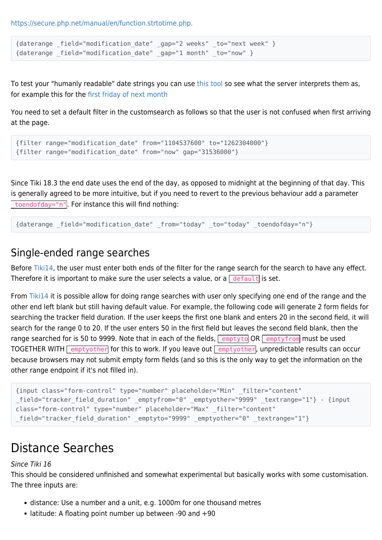<https://secure.php.net/manual/en/function.strtotime.php.>

```
{daterange _field="modification_date" _gap="2 weeks" _to="next week" }
{daterange field="modification date" gap="1 month" to="now" }
```
To test your "humanly readable" date strings you can use [this tool](https://strtotime.co.uk) so see what the server interprets them as, for example this for the [first friday of next month](https://strtotime.co.uk/?str=first+friday+of+next+month)

You need to set a default filter in the customsearch as follows so that the user is not confused when first arriving at the page.

```
{filter range="modification_date" from="1104537600" to="1262304000"}
{filter range="modification_date" from="now" gap="31536000"}
```
Since Tiki 18.3 the end date uses the end of the day, as opposed to midnight at the beginning of that day. This is generally agreed to be more intuitive, but if you need to revert to the previous behaviour add a parameter toendofday="n". For instance this will find nothing:

```
{daterange field="modification date" from="today" to="today" toendofday="n"}
```
### Single-ended range searches

Before [Tiki14,](https://doc.tiki.org/Tiki14) the user must enter both ends of the filter for the range search for the search to have any effect. Therefore it is important to make sure the user selects a value, or a  $\sqrt{\det(u)}$  is set.

From [Tiki14](https://doc.tiki.org/Tiki14) it is possible allow for doing range searches with user only specifying one end of the range and the other end left blank but still having default value. For example, the following code will generate 2 form fields for searching the tracker field duration. If the user keeps the first one blank and enters 20 in the second field, it will search for the range 0 to 20. If the user enters 50 in the first field but leaves the second field blank, then the range searched for is 50 to 9999. Note that in each of the fields,  $\sqrt{$  emptyto OR  $\sqrt{ }$  emptyfrom must be used TOGETHER WITH  $\sqrt{\frac{2}{1}}$  emptyother for this to work. If you leave out  $\sqrt{\frac{2}{1}}$  emptyother, unpredictable results can occur because browsers may not submit empty form fields (and so this is the only way to get the information on the other range endpoint if it's not filled in).

```
{input class="form-control" type="number" placeholder="Min" _filter="content"
_field="tracker_field_duration" _emptyfrom="0" _emptyother="9999" _textrange="1"} - {input
class="form-control" type="number" placeholder="Max" _filter="content"
field="tracker field duration" emptyto="9999" emptyother="0" textrange="1"}
```
## Distance Searches

#### Since Tiki 16

This should be considered unfinished and somewhat experimental but basically works with some customisation. The three inputs are:

- distance: Use a number and a unit, e.g. 1000m for one thousand metres
- latitude: A floating point number up between -90 and +90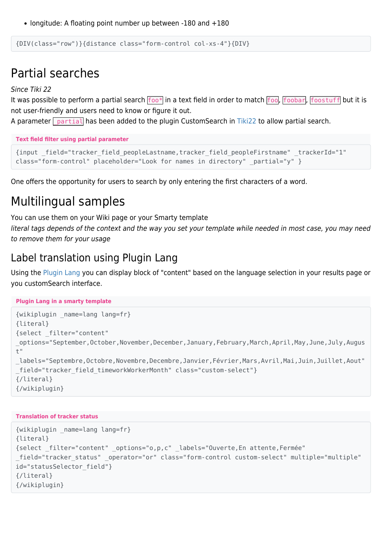• longitude: A floating point number up between -180 and +180

{DIV(class="row")}{distance class="form-control col-xs-4"}{DIV}

## Partial searches

Since Tiki 22

It was possible to perform a partial search  $\frac{f}{f}$  in a text field in order to match  $\frac{f}{f}$ oo,  $\frac{f}{f}$ oostuff but it is not user-friendly and users need to know or figure it out.

A parameter **partial has been added to the plugin CustomSearch in [Tiki22](https://doc.tiki.org/Tiki22) to allow partial search.** 

**Text field filter using partial parameter**

```
{input _field="tracker_field_peopleLastname,tracker_field_peopleFirstname" _trackerId="1"
class="form-control" placeholder="Look for names in directory" partial="y" }
```
One offers the opportunity for users to search by only entering the first characters of a word.

## Multilingual samples

You can use them on your Wiki page or your Smarty template

literal tags depends of the context and the way you set your template while needed in most case, you may need to remove them for your usage

### Label translation using Plugin Lang

Using the [Plugin Lang](https://doc.tiki.org/PluginLang) you can display block of "content" based on the language selection in your results page or you customSearch interface.

```
Plugin Lang in a smarty template
```

```
{wikiplugin _name=lang lang=fr}
{literal}
{select _filter="content"
_options="September,October,November,December,January,February,March,April,May,June,July,Augus
+"
_labels="Septembre,Octobre,Novembre,Decembre,Janvier,Février,Mars,Avril,Mai,Juin,Juillet,Aout"
field="tracker field timeworkWorkerMonth" class="custom-select"}
{/literal}
{/wikiplugin}
```
#### **Translation of tracker status**

```
{wikiplugin _name=lang lang=fr}
{literal}
{select _filter="content" _options="o,p,c" _labels="Ouverte,En attente,Fermée"
_field="tracker_status" _operator="or" class="form-control custom-select" multiple="multiple"
id="statusSelector field"}
{/literal}
{/wikiplugin}
```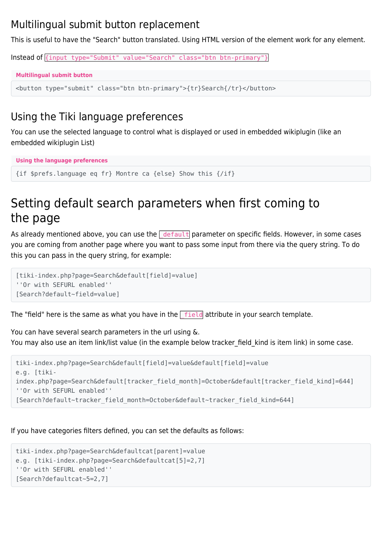### Multilingual submit button replacement

This is useful to have the "Search" button translated. Using HTML version of the element work for any element.

Instead of {input type="Submit" value="Search" class="btn btn-primary"}

```
Multilingual submit button
```
<button type="submit" class="btn btn-primary">{tr}Search{/tr}</button>

### Using the Tiki language preferences

You can use the selected language to control what is displayed or used in embedded wikiplugin (like an embedded wikiplugin List)

```
Using the language preferences
```
{if \$prefs.language eq fr} Montre ca {else} Show this {/if}

## Setting default search parameters when first coming to the page

As already mentioned above, you can use the  $\frac{d}{dt}$  default parameter on specific fields. However, in some cases you are coming from another page where you want to pass some input from there via the query string. To do this you can pass in the query string, for example:

```
[tiki-index.php?page=Search&default[field]=value]
''Or with SEFURL enabled''
[Search?default~field=value]
```
The "field" here is the same as what you have in the  $\sqrt{f_{\text{field}}}$  attribute in your search template.

You can have several search parameters in the url using &. You may also use an item link/list value (in the example below tracker field kind is item link) in some case.

```
tiki-index.php?page=Search&default[field]=value&default[field]=value
e.g. [tiki-
index.php?page=Search&default[tracker_field_month]=October&default[tracker_field_kind]=644]
''Or with SEFURL enabled''
[Search?default~tracker_field_month=October&default~tracker_field_kind=644]
```
If you have categories filters defined, you can set the defaults as follows:

```
tiki-index.php?page=Search&defaultcat[parent]=value
e.g. [tiki-index.php?page=Search&defaultcat[5]=2,7]
''Or with SEFURL enabled''
[Search?defaultcat~5=2,7]
```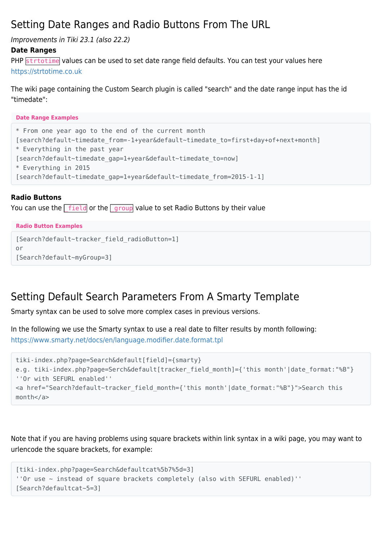### Setting Date Ranges and Radio Buttons From The URL

Improvements in Tiki 23.1 (also 22.2)

#### **Date Ranges**

PHP strtotime values can be used to set date range field defaults. You can test your values here <https://strtotime.co.uk>

The wiki page containing the Custom Search plugin is called "search" and the date range input has the id "timedate":

**Date Range Examples**

```
* From one year ago to the end of the current month
[search?default~timedate_from=-1+year&default~timedate_to=first+day+of+next+month]
* Everything in the past year
[search?default~timedate_gap=1+year&default~timedate_to=now]
* Everything in 2015
[search?default~timedate_gap=1+year&default~timedate_from=2015-1-1]
```
#### **Radio Buttons**

You can use the **Field** or the **group** value to set Radio Buttons by their value

#### **Radio Button Examples**

```
[Search?default~tracker_field_radioButton=1]
or
[Search?default~myGroup=3]
```
## Setting Default Search Parameters From A Smarty Template

Smarty syntax can be used to solve more complex cases in previous versions.

In the following we use the Smarty syntax to use a real date to filter results by month following: <https://www.smarty.net/docs/en/language.modifier.date.format.tpl>

```
tiki-index.php?page=Search&default[field]={smarty}
e.g. tiki-index.php?page=Serch&default[tracker field month]={'this month'|date format:"%B"}
''Or with SEFURL enabled''
<a href="Search?default~tracker_field_month={'this month'|date_format:"%B"}">Search this
month</a>
```
Note that if you are having problems using square brackets within link syntax in a wiki page, you may want to urlencode the square brackets, for example:

```
[tiki-index.php?page=Search&defaultcat%5b7%5d=3]
''Or use ~ instead of square brackets completely (also with SEFURL enabled)''
[Search?defaultcat~5=3]
```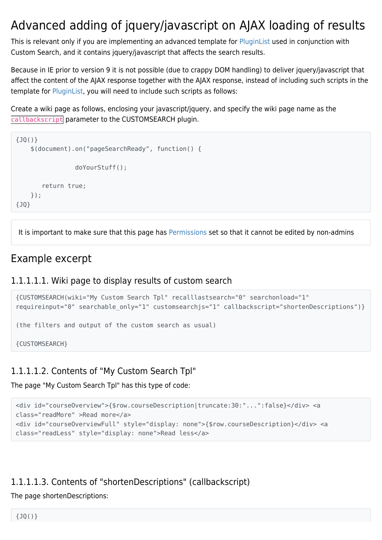## Advanced adding of jquery/javascript on AJAX loading of results

This is relevant only if you are implementing an advanced template for [PluginList](https://doc.tiki.org/PluginList) used in conjunction with Custom Search, and it contains jquery/javascript that affects the search results.

Because in IE prior to version 9 it is not possible (due to crappy DOM handling) to deliver jquery/javascript that affect the content of the AJAX response together with the AJAX response, instead of including such scripts in the template for [PluginList](https://doc.tiki.org/PluginList), you will need to include such scripts as follows:

Create a wiki page as follows, enclosing your javascript/jquery, and specify the wiki page name as the callbackscript parameter to the CUSTOMSEARCH plugin.

```
{JQ()}
     $(document).on("pageSearchReady", function() {
                  doYourStuff();
        return true;
     });
{JQ}
```
It is important to make sure that this page has [Permissions](https://doc.tiki.org/Permissions) set so that it cannot be edited by non-admins

## Example excerpt

#### 1.1.1.1.1. Wiki page to display results of custom search

```
{CUSTOMSEARCH(wiki="My Custom Search Tpl" recalllastsearch="0" searchonload="1"
requireinput="0" searchable_only="1" customsearchjs="1" callbackscript="shortenDescriptions")}
(the filters and output of the custom search as usual)
{CUSTOMSEARCH}
```
### 1.1.1.1.2. Contents of "My Custom Search Tpl"

The page "My Custom Search Tpl" has this type of code:

```
<div id="courseOverview">{$row.courseDescription|truncate:30:"...":false}</div> <a
class="readMore" >Read more</a>
<div id="courseOverviewFull" style="display: none">{$row.courseDescription}</div> <a
class="readLess" style="display: none">Read less</a>
```
### 1.1.1.1.3. Contents of "shortenDescriptions" (callbackscript)

The page shortenDescriptions: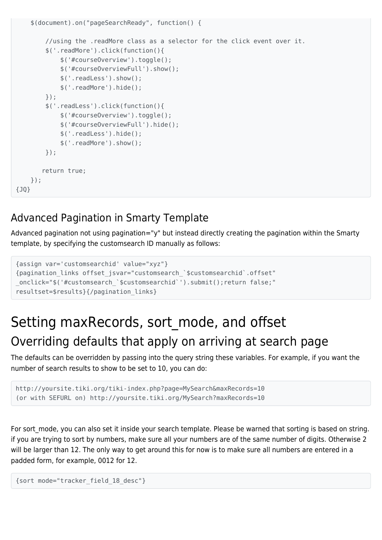```
 $(document).on("pageSearchReady", function() {
         //using the .readMore class as a selector for the click event over it.
         $('.readMore').click(function(){
             $('#courseOverview').toggle();
             $('#courseOverviewFull').show();
             $('.readLess').show();
             $('.readMore').hide();
         });
         $('.readLess').click(function(){
             $('#courseOverview').toggle();
             $('#courseOverviewFull').hide();
             $('.readLess').hide();
             $('.readMore').show();
         });
        return true;
     });
{JQ}
```
## Advanced Pagination in Smarty Template

Advanced pagination not using pagination="y" but instead directly creating the pagination within the Smarty template, by specifying the customsearch ID manually as follows:

```
{assign var='customsearchid' value="xyz"}
{pagination_links offset_jsvar="customsearch_`$customsearchid`.offset"
_onclick="$('#customsearch_`$customsearchid`').submit();return false;"
resultset=$results}{/pagination_links}
```
## Setting maxRecords, sort mode, and offset Overriding defaults that apply on arriving at search page

The defaults can be overridden by passing into the query string these variables. For example, if you want the number of search results to show to be set to 10, you can do:

```
http://yoursite.tiki.org/tiki-index.php?page=MySearch&maxRecords=10
(or with SEFURL on) http://yoursite.tiki.org/MySearch?maxRecords=10
```
For sort mode, you can also set it inside your search template. Please be warned that sorting is based on string. if you are trying to sort by numbers, make sure all your numbers are of the same number of digits. Otherwise 2 will be larger than 12. The only way to get around this for now is to make sure all numbers are entered in a padded form, for example, 0012 for 12.

```
{sort mode="tracker_field_18_desc"}
```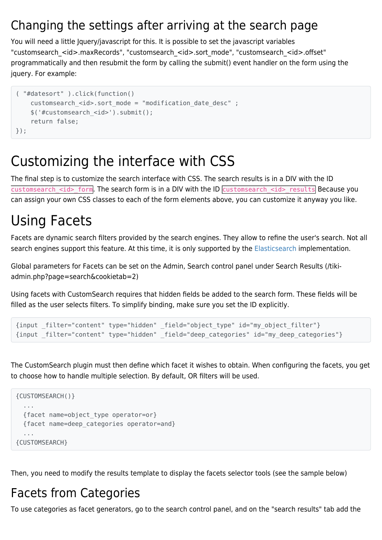## Changing the settings after arriving at the search page

You will need a little Jquery/javascript for this. It is possible to set the javascript variables "customsearch\_<id>.maxRecords", "customsearch\_<id>.sort\_mode", "customsearch\_<id>.offset" programmatically and then resubmit the form by calling the submit() event handler on the form using the jquery. For example:

```
( "#datesort" ).click(function()
    customsearch <id>.sort mode = "modification date desc" ;
     $('#customsearch_<id>').submit();
     return false;
});
```
## Customizing the interface with CSS

The final step is to customize the search interface with CSS. The search results is in a DIV with the ID customsearch  $\leq$ id> form. The search form is in a DIV with the ID customsearch  $\leq$ id> results Because you can assign your own CSS classes to each of the form elements above, you can customize it anyway you like.

## Using Facets

Facets are dynamic search filters provided by the search engines. They allow to refine the user's search. Not all search engines support this feature. At this time, it is only supported by the [Elasticsearch](https://doc.tiki.org/Elasticsearch) implementation.

Global parameters for Facets can be set on the Admin, Search control panel under Search Results (/tikiadmin.php?page=search&cookietab=2)

Using facets with CustomSearch requires that hidden fields be added to the search form. These fields will be filled as the user selects filters. To simplify binding, make sure you set the ID explicitly.

```
{input _filter="content" type="hidden" _field="object_type" id="my_object_filter"}
{input _filter="content" type="hidden" _field="deep_categories" id="my_deep_categories"}
```
The CustomSearch plugin must then define which facet it wishes to obtain. When configuring the facets, you get to choose how to handle multiple selection. By default, OR filters will be used.

```
{CUSTOMSEARCH()}
   ...
   {facet name=object_type operator=or}
   {facet name=deep_categories operator=and}
   ...
{CUSTOMSEARCH}
```
Then, you need to modify the results template to display the facets selector tools (see the sample below)

## Facets from Categories

To use categories as facet generators, go to the search control panel, and on the "search results" tab add the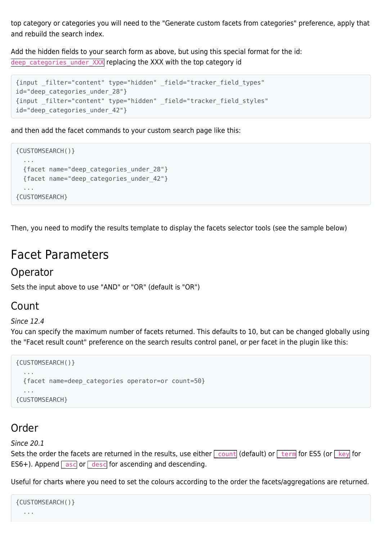top category or categories you will need to the "Generate custom facets from categories" preference, apply that and rebuild the search index.

Add the hidden fields to your search form as above, but using this special format for the id: deep categories under XXX replacing the XXX with the top category id

```
{input _filter="content" type="hidden" _field="tracker_field_types"
id="deep categories under 28"}
{input _filter="content" type="hidden" _field="tracker_field_styles"
id="deep categories under 42"}
```
and then add the facet commands to your custom search page like this:

```
{CUSTOMSEARCH()}
   ...
   {facet name="deep_categories_under_28"}
   {facet name="deep_categories_under_42"}
   ...
{CUSTOMSEARCH}
```
Then, you need to modify the results template to display the facets selector tools (see the sample below)

## Facet Parameters

### Operator

Sets the input above to use "AND" or "OR" (default is "OR")

### Count

#### Since 12.4

You can specify the maximum number of facets returned. This defaults to 10, but can be changed globally using the "Facet result count" preference on the search results control panel, or per facet in the plugin like this:

```
{CUSTOMSEARCH()}
 ...
   {facet name=deep_categories operator=or count=50}
   ...
{CUSTOMSEARCH}
```
### Order

Since 20.1

Sets the order the facets are returned in the results, use either  $\sqrt{\frac{\text{count}}{\text{count}}}$  (default) or  $\sqrt{\frac{\text{term}}{\text{term}}}$  for ES5 (or  $\sqrt{\frac{\text{key}}{\text{key}}}$  for ES6+). Append  $\sqrt{a}$  asc or  $\sqrt{a}$  desc for ascending and descending.

Useful for charts where you need to set the colours according to the order the facets/aggregations are returned.

```
{CUSTOMSEARCH()}
 ...
```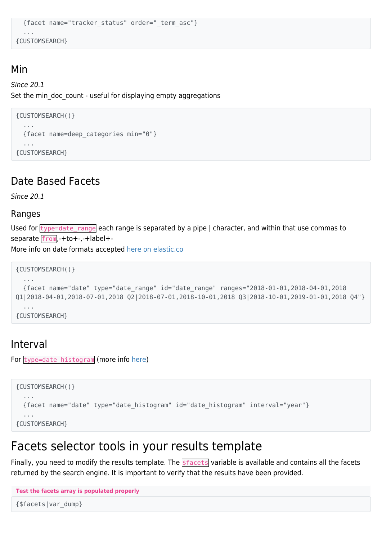```
 {facet name="tracker_status" order="_term_asc"}
   ...
{CUSTOMSEARCH}
```
### Min

#### Since 20.1 Set the min doc count - useful for displaying empty aggregations

```
{CUSTOMSEARCH()}
   ...
   {facet name=deep_categories min="0"}
   ...
{CUSTOMSEARCH}
```
### Date Based Facets

Since 20.1

#### Ranges

Used for  $\frac{1}{2}$  type=date range each range is separated by a pipe | character, and within that use commas to separate from, +to+-, -+label+-

More info on date formats accepted [here on elastic.co](https://www.elastic.co/guide/en/elasticsearch/reference/5.6/search-aggregations-bucket-daterange-aggregation.html#date-format-pattern)

```
{CUSTOMSEARCH()}
   ...
   {facet name="date" type="date_range" id="date_range" ranges="2018-01-01,2018-04-01,2018
Q1|2018-04-01,2018-07-01,2018 Q2|2018-07-01,2018-10-01,2018 Q3|2018-10-01,2019-01-01,2018 Q4"}
   ...
{CUSTOMSEARCH}
```
### Interval

For type=date\_histogram (more info [here\)](https://www.elastic.co/guide/en/elasticsearch/reference/5.6/search-aggregations-bucket-datehistogram-aggregation.html)

```
{CUSTOMSEARCH()}
   ...
   {facet name="date" type="date_histogram" id="date_histogram" interval="year"}
   ...
{CUSTOMSEARCH}
```
## Facets selector tools in your results template

Finally, you need to modify the results template. The **\$facets** variable is available and contains all the facets returned by the search engine. It is important to verify that the results have been provided.

```
Test the facets array is populated properly
```
{\$facets|var\_dump}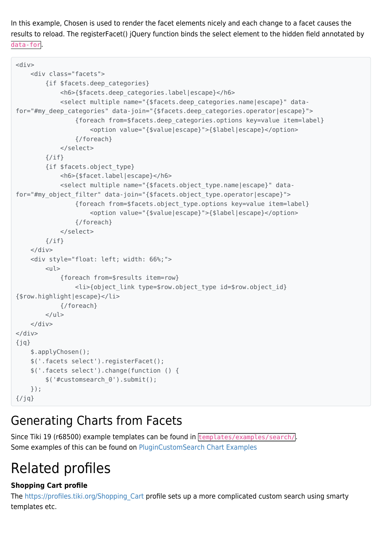In this example, Chosen is used to render the facet elements nicely and each change to a facet causes the results to reload. The registerFacet() jQuery function binds the select element to the hidden field annotated by data-for.

```
<div> <div class="facets">
         {if $facets.deep_categories}
             <h6>{$facets.deep_categories.label|escape}</h6>
             <select multiple name="{$facets.deep_categories.name|escape}" data-
for="#my_deep_categories" data-join="{$facets.deep_categories.operator|escape}">
                  {foreach from=$facets.deep_categories.options key=value item=label}
                      <option value="{$value|escape}">{$label|escape}</option>
                  {/foreach}
             </select>
         {/if}
         {if $facets.object_type}
             <h6>{$facet.label|escape}</h6>
             <select multiple name="{$facets.object_type.name|escape}" data-
for="#my_object_filter" data-join="{$facets.object_type.operator|escape}">
                  {foreach from=$facets.object_type.options key=value item=label}
                      <option value="{$value|escape}">{$label|escape}</option>
                  {/foreach}
             </select>
        \{if}
    \langlediv> <div style="float: left; width: 66%;">
        <sub>u</sub></sub>
             {foreach from=$results item=row}
                  <li>{object_link type=$row.object_type id=$row.object_id}
{$row.highlight|escape}</li>
              {/foreach}
        \langle U|\langlediv></div>
{jq} $.applyChosen();
     $('.facets select').registerFacet();
     $('.facets select').change(function () {
         $('#customsearch_0').submit();
     });
\{jq\}
```
## Generating Charts from Facets

Since Tiki 19 (r68500) example templates can be found in templates/examples/search/. Some examples of this can be found on [PluginCustomSearch Chart Examples](https://doc.tiki.org/PluginCustomSearch-Chart-Examples)

## Related profiles

#### **Shopping Cart profile**

The https://profiles.tiki.org/Shopping Cart profile sets up a more complicated custom search using smarty templates etc.